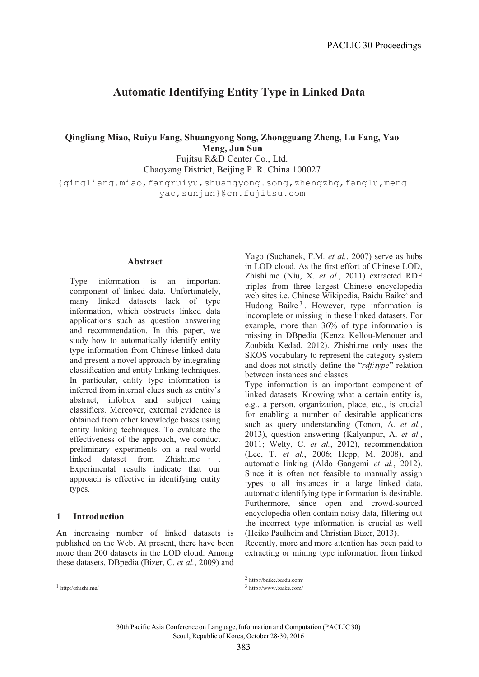# **Automatic Identifying Entity Type in Linked Data**

**Qingliang Miao, Ruiyu Fang, Shuangyong Song, Zhongguang Zheng, Lu Fang, Yao Meng, Jun Sun**

Fujitsu R&D Center Co., Ltd. Chaoyang District, Beijing P. R. China 100027

{qingliang.miao,fangruiyu,shuangyong.song,zhengzhg,fanglu,meng

yao,sunjun}@cn.fujitsu.com

#### **Abstract**

Type information is an important component of linked data. Unfortunately, many linked datasets lack of type information, which obstructs linked data applications such as question answering and recommendation. In this paper, we study how to automatically identify entity type information from Chinese linked data and present a novel approach by integrating classification and entity linking techniques. In particular, entity type information is inferred from internal clues such as entity's abstract, infobox and subject using classifiers. Moreover, external evidence is obtained from other knowledge bases using entity linking techniques. To evaluate the effectiveness of the approach, we conduct preliminary experiments on a real-world linked dataset from Zhishi.me <sup>1</sup>. Experimental results indicate that our approach is effective in identifying entity types.

## **1 Introduction**

An increasing number of linked datasets is published on the Web. At present, there have been more than 200 datasets in the LOD cloud. Among these datasets, DBpedia (Bizer, C. *et al.*, 2009) and

<sup>1</sup> http://zhishi.me/

Yago (Suchanek, F.M. *et al.*, 2007) serve as hubs in LOD cloud. As the first effort of Chinese LOD, Zhishi.me (Niu, X. *et al.*, 2011) extracted RDF triples from three largest Chinese encyclopedia web sites i.e. Chinese Wikipedia, Baidu Baike<sup>2</sup> and Hudong Baike<sup>3</sup>. However, type information is incomplete or missing in these linked datasets. For example, more than 36% of type information is missing in DBpedia (Kenza Kellou-Menouer and Zoubida Kedad, 2012). Zhishi.me only uses the SKOS vocabulary to represent the category system and does not strictly define the "*rdf:type*" relation between instances and classes.

Type information is an important component of linked datasets. Knowing what a certain entity is, e.g., a person, organization, place, etc., is crucial for enabling a number of desirable applications such as query understanding (Tonon, A. *et al.*, 2013), question answering (Kalyanpur, A. *et al.*, 2011; Welty, C. *et al.*, 2012), recommendation (Lee, T. *et al.*, 2006; Hepp, M. 2008), and automatic linking (Aldo Gangemi *et al.*, 2012). Since it is often not feasible to manually assign types to all instances in a large linked data, automatic identifying type information is desirable. Furthermore, since open and crowd-sourced encyclopedia often contain noisy data, filtering out the incorrect type information is crucial as well (Heiko Paulheim and Christian Bizer, 2013).

Recently, more and more attention has been paid to extracting or mining type information from linked

<sup>3</sup> http://www.baike.com/

<sup>2</sup> http://baike.baidu.com/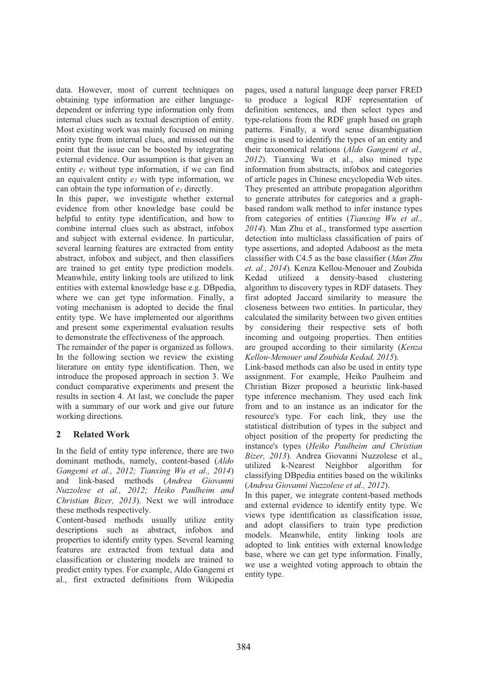data. However, most of current techniques on obtaining type information are either languagedependent or inferring type information only from internal clues such as textual description of entity. Most existing work was mainly focused on mining entity type from internal clues, and missed out the point that the issue can be boosted by integrating external evidence. Our assumption is that given an entity  $e_1$  without type information, if we can find an equivalent entity *e2* with type information, we can obtain the type information of *e1* directly.

In this paper, we investigate whether external evidence from other knowledge base could be helpful to entity type identification, and how to combine internal clues such as abstract, infobox and subject with external evidence. In particular, several learning features are extracted from entity abstract, infobox and subject, and then classifiers are trained to get entity type prediction models. Meanwhile, entity linking tools are utilized to link entities with external knowledge base e.g. DBpedia, where we can get type information. Finally, a voting mechanism is adopted to decide the final entity type. We have implemented our algorithms and present some experimental evaluation results to demonstrate the effectiveness of the approach.

The remainder of the paper is organized as follows. In the following section we review the existing literature on entity type identification. Then, we introduce the proposed approach in section 3. We conduct comparative experiments and present the results in section 4. At last, we conclude the paper with a summary of our work and give our future working directions.

# **2 Related Work**

In the field of entity type inference, there are two dominant methods, namely, content-based (*Aldo Gangemi et al., 2012; Tianxing Wu et al., 2014*) and link-based methods (*Andrea Giovanni Nuzzolese et al., 2012; Heiko Paulheim and Christian Bizer, 2013*). Next we will introduce these methods respectively.

Content-based methods usually utilize entity descriptions such as abstract, infobox and properties to identify entity types. Several learning features are extracted from textual data and classification or clustering models are trained to predict entity types. For example, Aldo Gangemi et al., first extracted definitions from Wikipedia pages, used a natural language deep parser FRED to produce a logical RDF representation of definition sentences, and then select types and type-relations from the RDF graph based on graph patterns. Finally, a word sense disambiguation engine is used to identify the types of an entity and their taxonomical relations (*Aldo Gangemi et al., 2012*). Tianxing Wu et al., also mined type information from abstracts, infobox and categories of article pages in Chinese encyclopedia Web sites. They presented an attribute propagation algorithm to generate attributes for categories and a graphbased random walk method to infer instance types from categories of entities (*Tianxing Wu et al., 2014*). Man Zhu et al., transformed type assertion detection into multiclass classification of pairs of type assertions, and adopted Adaboost as the meta classifier with C4.5 as the base classifier (*Man Zhu et. al., 2014*). Kenza Kellou-Menouer and Zoubida Kedad utilized a density-based clustering algorithm to discovery types in RDF datasets. They first adopted Jaccard similarity to measure the closeness between two entities. In particular, they calculated the similarity between two given entities by considering their respective sets of both incoming and outgoing properties. Then entities are grouped according to their similarity (*Kenza Kellou-Menouer and Zoubida Kedad, 2015*).

Link-based methods can also be used in entity type assignment. For example, Heiko Paulheim and Christian Bizer proposed a heuristic link-based type inference mechanism. They used each link from and to an instance as an indicator for the resource's type. For each link, they use the statistical distribution of types in the subject and object position of the property for predicting the instance's types (*Heiko Paulheim and Christian Bizer, 2013*). Andrea Giovanni Nuzzolese et al., utilized k-Nearest Neighbor algorithm for classifying DBpedia entities based on the wikilinks (*Andrea Giovanni Nuzzolese et al., 2012*).

In this paper, we integrate content-based methods and external evidence to identify entity type. We views type identification as classification issue, and adopt classifiers to train type prediction models. Meanwhile, entity linking tools are adopted to link entities with external knowledge base, where we can get type information. Finally, we use a weighted voting approach to obtain the entity type.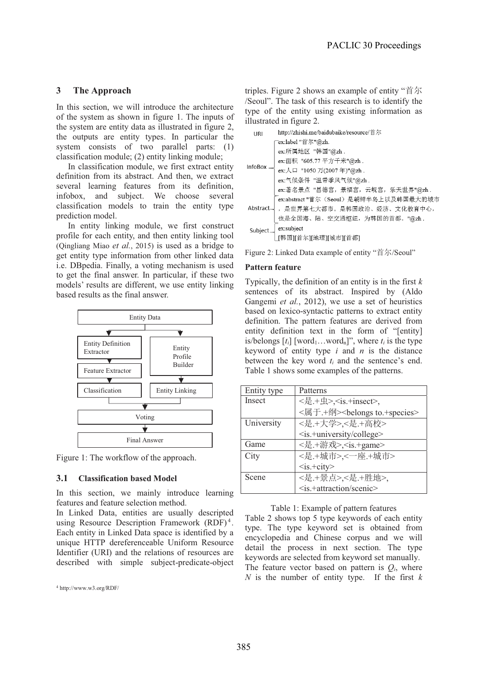## **3 The Approach**

In this section, we will introduce the architecture of the system as shown in figure 1. The inputs of the system are entity data as illustrated in figure 2, the outputs are entity types. In particular the system consists of two parallel parts: (1) classification module; (2) entity linking module;

In classification module, we first extract entity definition from its abstract. And then, we extract several learning features from its definition, infobox, and subject. We choose several classification models to train the entity type prediction model.

In entity linking module, we first construct profile for each entity, and then entity linking tool (Qingliang Miao *et al.*, 2015) is used as a bridge to get entity type information from other linked data i.e. DBpedia. Finally, a voting mechanism is used to get the final answer. In particular, if these two models' results are different, we use entity linking based results as the final answer.



Figure 1: The workflow of the approach.

## **3.1 Classification based Model**

In this section, we mainly introduce learning features and feature selection method.

In Linked Data, entities are usually descripted using Resource Description Framework  $(RDF)^4$ . Each entity in Linked Data space is identified by a unique HTTP dereferenceable Uniform Resource Identifier (URI) and the relations of resources are described with simple subject-predicate-object triples. Figure 2 shows an example of entity " $\sharp \pi$ /Seoul". The task of this research is to identify the type of the entity using existing information as illustrated in figure 2.

| URI            | http://zhishi.me/baidubaike/resource/首尔 |  |  |
|----------------|-----------------------------------------|--|--|
| <b>InfoBox</b> | "ex:label "首尔"@zh.                      |  |  |
|                | ex:所属地区 "韩国"@zh.                        |  |  |
|                | ex:面积 "605.77 平方千米"@zh.                 |  |  |
|                | ,<br>ex:人口 "1050 万(2007 年)"@zh .        |  |  |
|                | ex:气候条件 "温带季风气候"@zh.                    |  |  |
|                | ex:著名景点 "昌德宫, 景福宫, 云岘宫, 乐天世界"@zh.       |  |  |
| Abstract       | ex:abstract "首尔 (Seoul) 是朝鲜半岛上以及韩国最大的城市 |  |  |
|                | ,是世界第七大都市。是韩国政治、经济、文化教育中心,              |  |  |
|                | 也是全国海、陆、空交通枢纽,为韩国的首都。"@zh.              |  |  |
| Subject.       |                                         |  |  |
|                | ] ex:subject<br>[[韩国][首尔][地理][城市][首都]   |  |  |

Figure 2: Linked Data example of entity "首尔/Seoul"

#### **Pattern feature**

Typically, the definition of an entity is in the first *k* sentences of its abstract. Inspired by (Aldo Gangemi *et al.*, 2012), we use a set of heuristics based on lexico-syntactic patterns to extract entity definition. The pattern features are derived from entity definition text in the form of "[entity] is/belongs  $[t_i]$  [word<sub>1</sub>…word<sub>n</sub>]", where  $t_i$  is the type keyword of entity type *i* and *n* is the distance between the key word *ti* and the sentence's end. Table 1 shows some examples of the patterns.

| Entity type   | Patterns                                     |  |
|---------------|----------------------------------------------|--|
| <b>Insect</b> | <是.+虫>, <is.+insect>,</is.+insect>           |  |
|               | <属于.+纲> <belongs to.+species=""></belongs>   |  |
| University    | <是.+大学>,<是.+高校>                              |  |
|               | <is.+university college=""></is.+university> |  |
| Game          | <是.+游戏>, <is.+game></is.+game>               |  |
| City          | <是.+城市>,<一座.+城市>                             |  |
|               | $<$ is.+city>                                |  |
| Scene         | <是.+景点>,<是.+胜地>,                             |  |
|               | <is.+attraction scenic=""></is.+attraction>  |  |

Table 1: Example of pattern features

Table 2 shows top 5 type keywords of each entity type. The type keyword set is obtained from encyclopedia and Chinese corpus and we will detail the process in next section. The type keywords are selected from keyword set manually. The feature vector based on pattern is  $Q_i$ , where *N* is the number of entity type. If the first  $k$ 

<sup>4</sup> http://www.w3.org/RDF/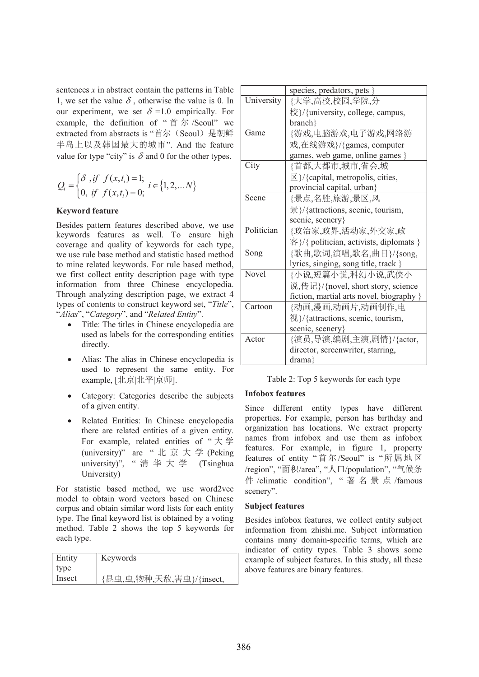sentences *x* in abstract contain the patterns in Table 1, we set the value  $\delta$ , otherwise the value is 0. In our experiment, we set  $\delta = 1.0$  empirically. For example, the definition of " $\#$   $\#$  /Seoul" we extracted from abstracts is "首尔 (Seoul) 是朝鲜 半岛上以及韩国最大的城市". And the feature value for type "city" is  $\delta$  and 0 for the other types.

$$
Q_i = \begin{cases} \delta, if \ f(x, t_i) = 1; \\ 0, if \ f(x, t_i) = 0; \end{cases} i \in \{1, 2, \dots N\}
$$

#### **Keyword feature**

Besides pattern features described above, we use keywords features as well. To ensure high coverage and quality of keywords for each type, we use rule base method and statistic based method to mine related keywords. For rule based method, we first collect entity description page with type information from three Chinese encyclopedia. Through analyzing description page, we extract 4 types of contents to construct keyword set, "*Title*", "*Alias*", "*Category*", and "*Related Entity*".

- Title: The titles in Chinese encyclopedia are used as labels for the corresponding entities directly.
- Alias: The alias in Chinese encyclopedia is used to represent the same entity. For example, [北京|北平|京师].
- Category: Categories describe the subjects of a given entity.
- Related Entities: In Chinese encyclopedia there are related entities of a given entity. For example, related entities of " $\pm \frac{1}{2}$ " (university)" are " 北 京 大 学 (Peking university)", "清华大学 (Tsinghua University)

For statistic based method, we use word2vec model to obtain word vectors based on Chinese corpus and obtain similar word lists for each entity type. The final keyword list is obtained by a voting method. Table 2 shows the top 5 keywords for each type.

| Entity | Keywords                 |
|--------|--------------------------|
| type   |                          |
| Insect | {昆虫,虫,物种,天敌,害虫}/{insect, |

|                                   | species, predators, pets }                  |  |
|-----------------------------------|---------------------------------------------|--|
| University                        | {大学,高校,校园,学院,分                              |  |
|                                   | 校}/{university, college, campus,            |  |
|                                   | branch }                                    |  |
| Game                              | {游戏,电脑游戏,电子游戏,网络游                           |  |
|                                   | 戏,在线游戏}/{games, computer                    |  |
|                                   | games, web game, online games }             |  |
| City                              | {首都,大都市,城市,省会,城                             |  |
|                                   | $\boxtimes$ {/{capital, metropolis, cities, |  |
|                                   | provincial capital, urban}                  |  |
| Scene                             | {景点,名胜,旅游,景区,风                              |  |
|                                   | 景}/{attractions, scenic, tourism,           |  |
|                                   | scenic, scenery                             |  |
| Politician                        | {政治家,政界,活动家,外交家,政                           |  |
|                                   | 客}/{ politician, activists, diplomats }     |  |
| Song                              | {歌曲,歌词,演唱,歌名,曲目}/{song,                     |  |
|                                   | lyrics, singing, song title, track }        |  |
| Novel                             | {小说,短篇小说,科幻小说,武侠小                           |  |
|                                   | 说,传记}/{novel, short story, science          |  |
|                                   | fiction, martial arts novel, biography }    |  |
| Cartoon                           | {动画,漫画,动画片,动画制作,电                           |  |
|                                   | 视}/{attractions, scenic, tourism,           |  |
|                                   | scenic, scenery                             |  |
| {演员,导演,编剧,主演,剧情}/{actor,<br>Actor |                                             |  |
|                                   | director, screenwriter, starring,           |  |
|                                   | drama}                                      |  |

Table 2: Top 5 keywords for each type

## **Infobox features**

Since different entity types have different properties. For example, person has birthday and organization has locations. We extract property names from infobox and use them as infobox features. For example, in figure 1, property features of entity "首尔/Seoul" is "所属地区 /region", "面积/area", "人口/population", "气候条 件 /climatic condition", "著名景点/famous scenery".

#### **Subject features**

Besides infobox features, we collect entity subject information from zhishi.me. Subject information contains many domain-specific terms, which are indicator of entity types. Table 3 shows some example of subject features. In this study, all these above features are binary features.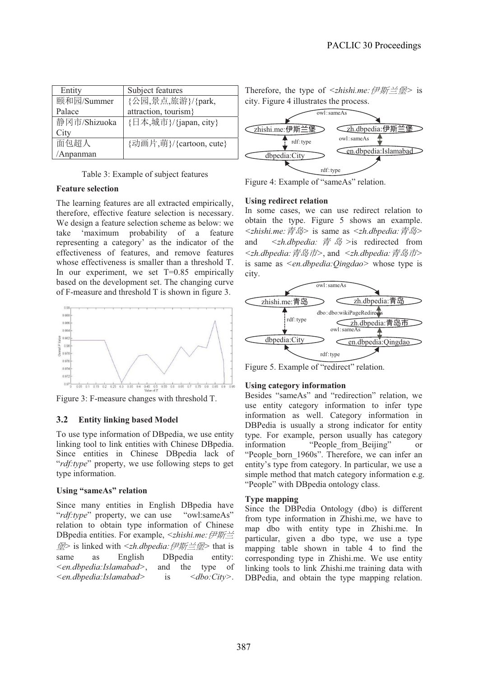| Entity       | Subject features        |
|--------------|-------------------------|
| 颐和园/Summer   | {公园,景点,旅游}/{park,       |
| Palace       | attraction, tourism}    |
| 静冈市/Shizuoka | {日本,城市}/{japan, city}   |
| City         |                         |
| 面包超人         | {动画片,萌}/{cartoon, cute} |
| Anpanman     |                         |

Table 3: Example of subject features

#### **Feature selection**

The learning features are all extracted empirically, therefore, effective feature selection is necessary. We design a feature selection scheme as below: we take 'maximum probability of a feature representing a category' as the indicator of the effectiveness of features, and remove features whose effectiveness is smaller than a threshold T. In our experiment, we set  $T=0.85$  empirically based on the development set. The changing curve of F-measure and threshold T is shown in figure 3.



Figure 3: F-measure changes with threshold T.

#### **3.2 Entity linking based Model**

To use type information of DBpedia, we use entity linking tool to link entities with Chinese DBpedia. Since entities in Chinese DBpedia lack of "*rdf:type*" property, we use following steps to get type information.

#### **Using "sameAs" relation**

Since many entities in English DBpedia have "*rdf:type*" property, we can use "owl:sameAs" relation to obtain type information of Chinese DBpedia entities. For example, <zhishi.me: 伊斯兰 ⟉*>* is linked with *<zh.dbpedia:*Ẳ㕗℘⟉*>* that is same as English DBpedia entity: *<en.dbpedia:Islamabad>*, and the type of *<en.dbpedia:Islamabad>* is *<dbo:City>*.

Therefore, the type of *<zhishi.me: 伊斯兰堡* > is city. Figure 4 illustrates the process.



Figure 4: Example of "sameAs" relation.

#### **Using redirect relation**

In some cases, we can use redirect relation to obtain the type. Figure 5 shows an example. *<zhishi.me:*䶂ዋ*>* is same as *<zh.dbpedia:*䶂ዋ*>* and *<zh.dbpedia:* 青 *岛* > is redirected from <zh.dbpedia: 青岛市>, and <zh.dbpedia: 青岛市> is same as *<en.dbpedia:Qingdao>* whose type is city.



Figure 5. Example of "redirect" relation.

#### **Using category information**

Besides "sameAs" and "redirection" relation, we use entity category information to infer type information as well. Category information in DBPedia is usually a strong indicator for entity type. For example, person usually has category information "People from Beijing" or "People born 1960s". Therefore, we can infer an entity's type from category. In particular, we use a simple method that match category information e.g. "People" with DBpedia ontology class.

#### **Type mapping**

Since the DBPedia Ontology (dbo) is different from type information in Zhishi.me, we have to map dbo with entity type in Zhishi.me. In particular, given a dbo type, we use a type mapping table shown in table 4 to find the corresponding type in Zhishi.me. We use entity linking tools to link Zhishi.me training data with DBPedia, and obtain the type mapping relation.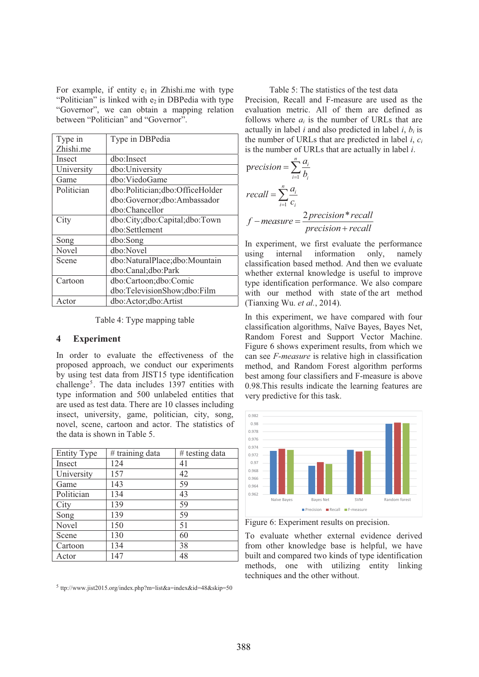For example, if entity  $e_1$  in Zhishi.me with type "Politician" is linked with  $e_2$  in DBPedia with type "Governor", we can obtain a mapping relation between "Politician" and "Governor".

| Type in    | Type in DBPedia                 |
|------------|---------------------------------|
| Zhishi.me  |                                 |
| Insect     | dbo:Insect                      |
| University | dbo:University                  |
| Game       | dbo:ViedoGame                   |
| Politician | dbo:Politician;dbo:OfficeHolder |
|            | dbo:Governor;dbo:Ambassador     |
|            | dbo:Chancellor                  |
| City       | dbo:City;dbo:Capital;dbo:Town   |
|            | dbo:Settlement                  |
| Song       | dbo:Song                        |
| Novel      | dbo:Novel                       |
| Scene      | dbo:NaturalPlace;dbo:Mountain   |
|            | dbo:Canal;dbo:Park              |
| Cartoon    | dbo:Cartoon;dbo:Comic           |
|            | dbo:TelevisionShow;dbo:Film     |
| Actor      | dbo:Actor;dbo:Artist            |

Table 4: Type mapping table

## **4 Experiment**

In order to evaluate the effectiveness of the proposed approach, we conduct our experiments by using test data from JIST15 type identification challenge<sup>5</sup>. The data includes 1397 entities with type information and 500 unlabeled entities that are used as test data. There are 10 classes including insect, university, game, politician, city, song, novel, scene, cartoon and actor. The statistics of the data is shown in Table 5.

| <b>Entity Type</b> | $#$ training data | # testing data |
|--------------------|-------------------|----------------|
| Insect             | 124               | 41             |
| University         | 157               | 42             |
| Game               | 143               | 59             |
| Politician         | 134               | 43             |
| City               | 139               | 59             |
| Song               | 139               | 59             |
| Novel              | 150               | 51             |
| Scene              | 130               | 60             |
| Cartoon            | 134               | 38             |
| Actor              | 147               | 48             |

Table 5: The statistics of the test data Precision, Recall and F-measure are used as the evaluation metric. All of them are defined as follows where *ai* is the number of URLs that are actually in label  $i$  and also predicted in label  $i$ ,  $b_i$  is the number of URLs that are predicted in label *i*, *ci* is the number of URLs that are actually in label *i*.

$$
precision = \sum_{i=1}^{n} \frac{a_i}{b_i}
$$
  
\n
$$
recall = \sum_{i=1}^{n} \frac{a_i}{c_i}
$$
  
\n
$$
f-measure = \frac{2\text{precision} * \text{recall}}{\text{precision} + \text{recall}}
$$

In experiment, we first evaluate the performance using internal information only, namely classification based method. And then we evaluate whether external knowledge is useful to improve type identification performance. We also compare with our method with state of the art method (Tianxing Wu. *et al.*, 2014).

In this experiment, we have compared with four classification algorithms, Naïve Bayes, Bayes Net, Random Forest and Support Vector Machine. Figure 6 shows experiment results, from which we can see *F-measure* is relative high in classification method, and Random Forest algorithm performs best among four classifiers and F-measure is above 0.98.This results indicate the learning features are very predictive for this task.



Figure 6: Experiment results on precision.

To evaluate whether external evidence derived from other knowledge base is helpful, we have built and compared two kinds of type identification methods, one with utilizing entity linking techniques and the other without.

<sup>5</sup> ttp://www.jist2015.org/index.php?m=list&a=index&id=48&skip=50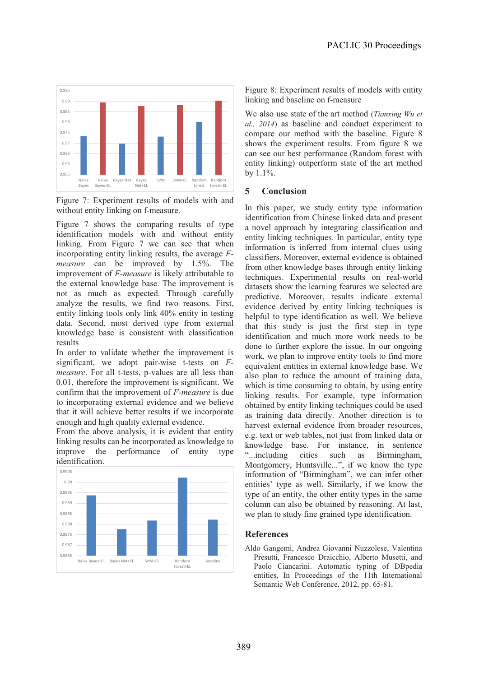

Figure 7: Experiment results of models with and without entity linking on f-measure.

Figure 7 shows the comparing results of type identification models with and without entity linking. From Figure 7 we can see that when incorporating entity linking results, the average *Fmeasure* can be improved by 1.5%. The improvement of *F-measure* is likely attributable to the external knowledge base. The improvement is not as much as expected. Through carefully analyze the results, we find two reasons. First, entity linking tools only link 40% entity in testing data. Second, most derived type from external knowledge base is consistent with classification results

In order to validate whether the improvement is significant, we adopt pair-wise t-tests on *Fmeasure*. For all t-tests, p-values are all less than 0.01, therefore the improvement is significant. We confirm that the improvement of *F-measure* is due to incorporating external evidence and we believe that it will achieve better results if we incorporate enough and high quality external evidence.

From the above analysis, it is evident that entity linking results can be incorporated as knowledge to improve the performance of entity type identification.



Figure 8: Experiment results of models with entity linking and baseline on f-measure

We also use state of the art method (*Tianxing Wu et al., 2014*) as baseline and conduct experiment to compare our method with the baseline. Figure 8 shows the experiment results. From figure 8 we can see our best performance (Random forest with entity linking) outperform state of the art method by 1.1%.

## **5 Conclusion**

In this paper, we study entity type information identification from Chinese linked data and present a novel approach by integrating classification and entity linking techniques. In particular, entity type information is inferred from internal clues using classifiers. Moreover, external evidence is obtained from other knowledge bases through entity linking techniques. Experimental results on real-world datasets show the learning features we selected are predictive. Moreover, results indicate external evidence derived by entity linking techniques is helpful to type identification as well. We believe that this study is just the first step in type identification and much more work needs to be done to further explore the issue. In our ongoing work, we plan to improve entity tools to find more equivalent entities in external knowledge base. We also plan to reduce the amount of training data, which is time consuming to obtain, by using entity linking results. For example, type information obtained by entity linking techniques could be used as training data directly. Another direction is to harvest external evidence from broader resources, e.g. text or web tables, not just from linked data or knowledge base. For instance, in sentence "...including cities such as Birmingham, Montgomery, Huntsville...", if we know the type information of "Birmingham", we can infer other entities' type as well. Similarly, if we know the type of an entity, the other entity types in the same column can also be obtained by reasoning. At last, we plan to study fine grained type identification.

## **References**

Aldo Gangemi, Andrea Giovanni Nuzzolese, Valentina Presutti, Francesco Draicchio, Alberto Musetti, and Paolo Ciancarini. Automatic typing of DBpedia entities, In Proceedings of the 11th International Semantic Web Conference, 2012, pp. 65-81.